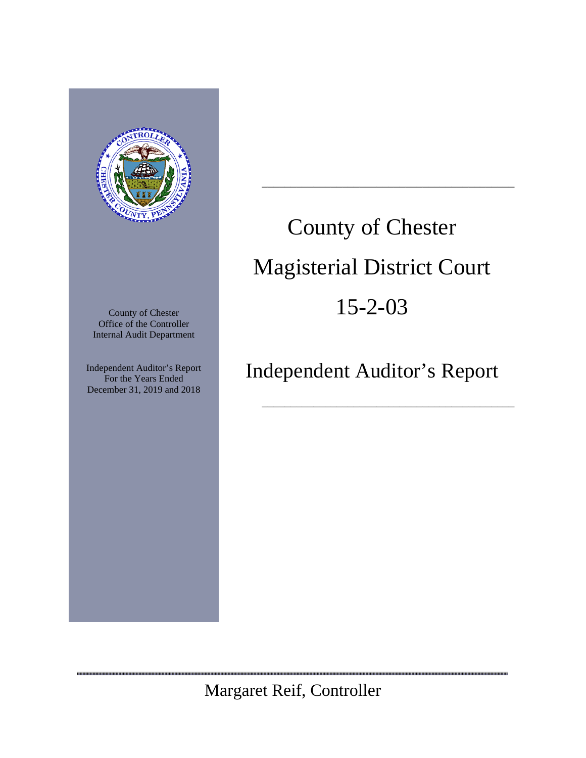

County of Chester Office of the Controller Internal Audit Department

Independent Auditor's Report For the Years Ended December 31, 2019 and 2018

,,,,,,,,,,,,,,,,,,,,,,,,,,,,,,,,,,,

# County of Chester Magisterial District Court 15-2-03

\_\_\_\_\_\_\_\_\_\_\_\_\_\_\_\_\_\_\_\_\_\_\_\_\_\_\_\_\_\_\_\_\_\_\_\_\_\_\_\_\_\_\_\_

## Independent Auditor's Report

\_\_\_\_\_\_\_\_\_\_\_\_\_\_\_\_\_\_\_\_\_\_\_\_\_\_\_\_\_\_\_\_\_\_\_\_\_\_\_\_\_\_\_\_

Margaret Reif, Controller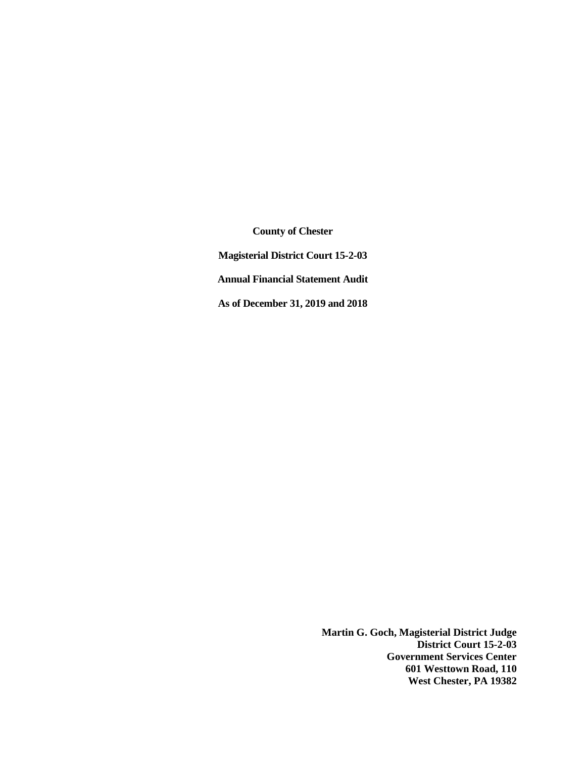**County of Chester Magisterial District Court 15-2-03 Annual Financial Statement Audit As of December 31, 2019 and 2018**

> **Martin G. Goch, Magisterial District Judge District Court 15-2-03 Government Services Center 601 Westtown Road, 110 West Chester, PA 19382**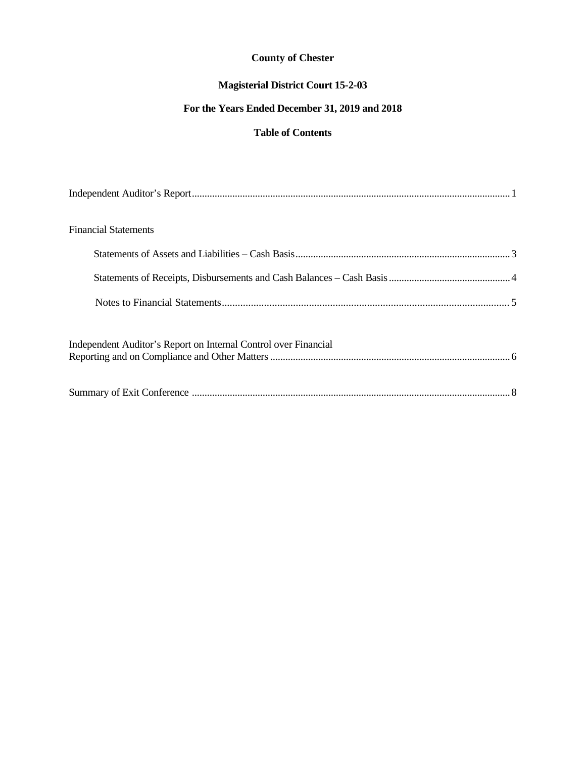## **Magisterial District Court 15-2-03**

## **For the Years Ended December 31, 2019 and 2018**

## **Table of Contents**

| <b>Financial Statements</b>                                     |  |
|-----------------------------------------------------------------|--|
|                                                                 |  |
|                                                                 |  |
|                                                                 |  |
| Independent Auditor's Report on Internal Control over Financial |  |
|                                                                 |  |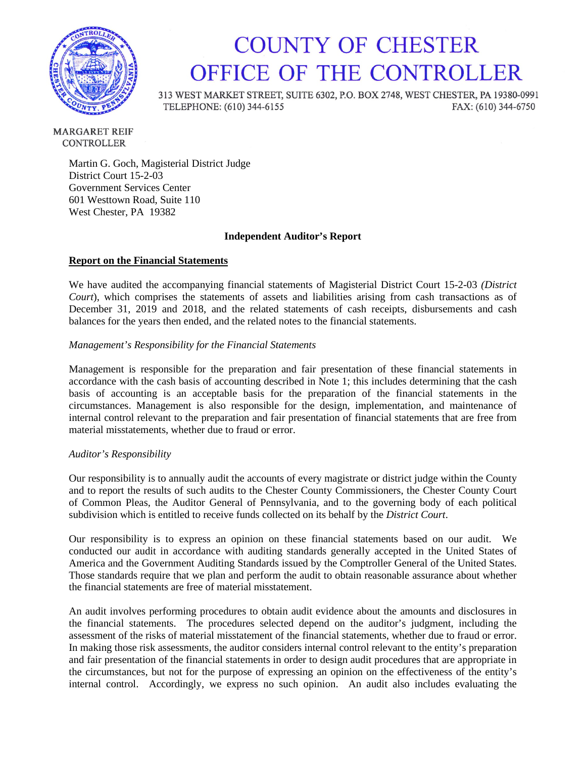

## **COUNTY OF CHESTER** OFFICE OF THE CONTROLLER

313 WEST MARKET STREET, SUITE 6302, P.O. BOX 2748, WEST CHESTER, PA 19380-0991 TELEPHONE: (610) 344-6155 FAX: (610) 344-6750

**MARGARET REIF CONTROLLER** 

> Martin G. Goch, Magisterial District Judge District Court 15-2-03 Government Services Center 601 Westtown Road, Suite 110 West Chester, PA 19382

#### **Independent Auditor's Report**

#### **Report on the Financial Statements**

We have audited the accompanying financial statements of Magisterial District Court 15-2-03 *(District Court*), which comprises the statements of assets and liabilities arising from cash transactions as of December 31, 2019 and 2018, and the related statements of cash receipts, disbursements and cash balances for the years then ended, and the related notes to the financial statements.

#### *Management's Responsibility for the Financial Statements*

Management is responsible for the preparation and fair presentation of these financial statements in accordance with the cash basis of accounting described in Note 1; this includes determining that the cash basis of accounting is an acceptable basis for the preparation of the financial statements in the circumstances. Management is also responsible for the design, implementation, and maintenance of internal control relevant to the preparation and fair presentation of financial statements that are free from material misstatements, whether due to fraud or error.

#### *Auditor's Responsibility*

Our responsibility is to annually audit the accounts of every magistrate or district judge within the County and to report the results of such audits to the Chester County Commissioners, the Chester County Court of Common Pleas, the Auditor General of Pennsylvania, and to the governing body of each political subdivision which is entitled to receive funds collected on its behalf by the *District Court*.

Our responsibility is to express an opinion on these financial statements based on our audit. We conducted our audit in accordance with auditing standards generally accepted in the United States of America and the Government Auditing Standards issued by the Comptroller General of the United States. Those standards require that we plan and perform the audit to obtain reasonable assurance about whether the financial statements are free of material misstatement.

An audit involves performing procedures to obtain audit evidence about the amounts and disclosures in the financial statements. The procedures selected depend on the auditor's judgment, including the assessment of the risks of material misstatement of the financial statements, whether due to fraud or error. In making those risk assessments, the auditor considers internal control relevant to the entity's preparation and fair presentation of the financial statements in order to design audit procedures that are appropriate in the circumstances, but not for the purpose of expressing an opinion on the effectiveness of the entity's internal control. Accordingly, we express no such opinion. An audit also includes evaluating the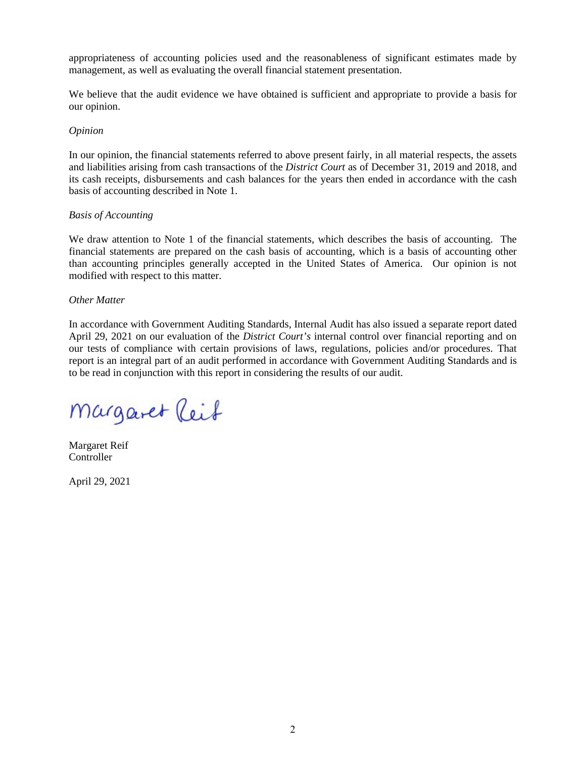appropriateness of accounting policies used and the reasonableness of significant estimates made by management, as well as evaluating the overall financial statement presentation.

We believe that the audit evidence we have obtained is sufficient and appropriate to provide a basis for our opinion.

#### *Opinion*

In our opinion, the financial statements referred to above present fairly, in all material respects, the assets and liabilities arising from cash transactions of the *District Court* as of December 31, 2019 and 2018, and its cash receipts, disbursements and cash balances for the years then ended in accordance with the cash basis of accounting described in Note 1.

#### *Basis of Accounting*

We draw attention to Note 1 of the financial statements, which describes the basis of accounting. The financial statements are prepared on the cash basis of accounting, which is a basis of accounting other than accounting principles generally accepted in the United States of America. Our opinion is not modified with respect to this matter.

#### *Other Matter*

In accordance with Government Auditing Standards, Internal Audit has also issued a separate report dated April 29, 2021 on our evaluation of the *District Court's* internal control over financial reporting and on our tests of compliance with certain provisions of laws, regulations, policies and/or procedures. That report is an integral part of an audit performed in accordance with Government Auditing Standards and is to be read in conjunction with this report in considering the results of our audit.

Margaret Reif

Margaret Reif Controller

April 29, 2021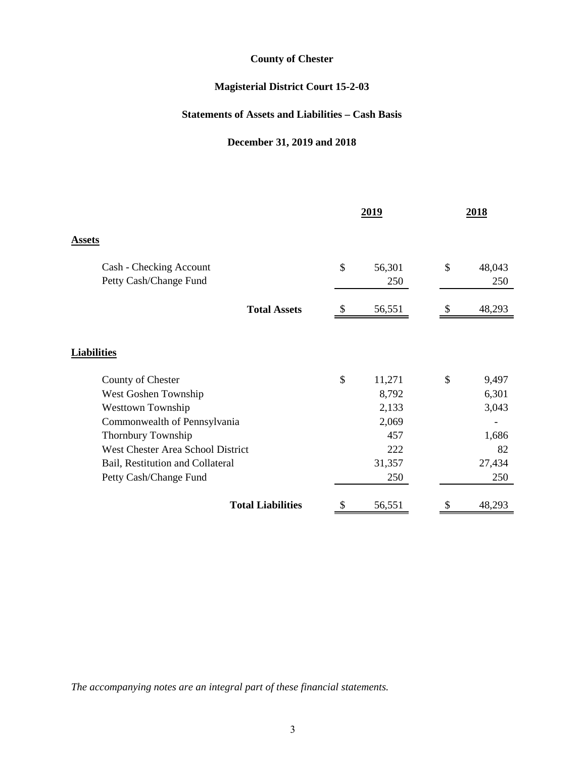## **Magisterial District Court 15-2-03**

## **Statements of Assets and Liabilities – Cash Basis**

## **December 31, 2019 and 2018**

|                                   |                           | 2019   |    | 2018   |
|-----------------------------------|---------------------------|--------|----|--------|
| <b>Assets</b>                     |                           |        |    |        |
| Cash - Checking Account           | \$                        | 56,301 | \$ | 48,043 |
| Petty Cash/Change Fund            |                           | 250    |    | 250    |
| <b>Total Assets</b>               | $\boldsymbol{\mathsf{S}}$ | 56,551 | S  | 48,293 |
|                                   |                           |        |    |        |
| <b>Liabilities</b>                |                           |        |    |        |
| County of Chester                 | \$                        | 11,271 | \$ | 9,497  |
| West Goshen Township              |                           | 8,792  |    | 6,301  |
| <b>Westtown Township</b>          |                           | 2,133  |    | 3,043  |
| Commonwealth of Pennsylvania      |                           | 2,069  |    |        |
| Thornbury Township                |                           | 457    |    | 1,686  |
| West Chester Area School District |                           | 222    |    | 82     |
| Bail, Restitution and Collateral  |                           | 31,357 |    | 27,434 |
| Petty Cash/Change Fund            |                           | 250    |    | 250    |
| <b>Total Liabilities</b>          |                           | 56,551 |    | 48,293 |

*The accompanying notes are an integral part of these financial statements.*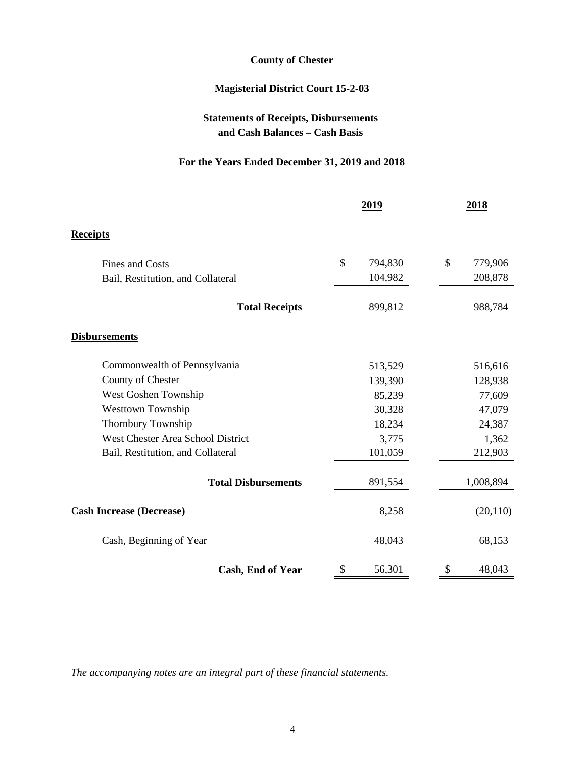## **Magisterial District Court 15-2-03**

## **Statements of Receipts, Disbursements and Cash Balances – Cash Basis**

## **For the Years Ended December 31, 2019 and 2018**

|                                   | 2019          | 2018                     |  |
|-----------------------------------|---------------|--------------------------|--|
| <b>Receipts</b>                   |               |                          |  |
| <b>Fines and Costs</b>            | \$<br>794,830 | $\mathcal{S}$<br>779,906 |  |
| Bail, Restitution, and Collateral | 104,982       | 208,878                  |  |
| <b>Total Receipts</b>             | 899,812       | 988,784                  |  |
| <b>Disbursements</b>              |               |                          |  |
| Commonwealth of Pennsylvania      | 513,529       | 516,616                  |  |
| County of Chester                 | 139,390       | 128,938                  |  |
| West Goshen Township              | 85,239        | 77,609                   |  |
| <b>Westtown Township</b>          | 30,328        | 47,079                   |  |
| Thornbury Township                | 18,234        | 24,387                   |  |
| West Chester Area School District | 3,775         | 1,362                    |  |
| Bail, Restitution, and Collateral | 101,059       | 212,903                  |  |
| <b>Total Disbursements</b>        | 891,554       | 1,008,894                |  |
| <b>Cash Increase (Decrease)</b>   | 8,258         | (20, 110)                |  |
| Cash, Beginning of Year           | 48,043        | 68,153                   |  |
| Cash, End of Year                 | 56,301<br>\$  | 48,043<br>\$             |  |

*The accompanying notes are an integral part of these financial statements.*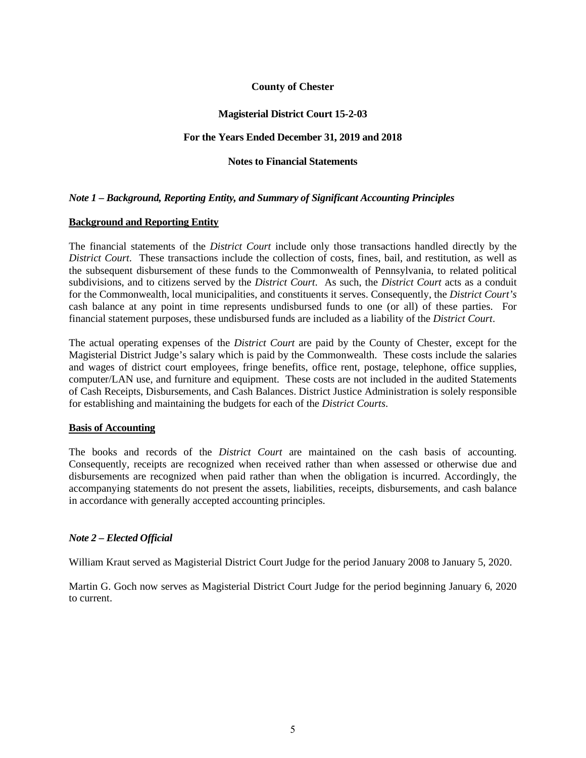#### **Magisterial District Court 15-2-03**

#### **For the Years Ended December 31, 2019 and 2018**

#### **Notes to Financial Statements**

#### *Note 1 – Background, Reporting Entity, and Summary of Significant Accounting Principles*

#### **Background and Reporting Entity**

The financial statements of the *District Court* include only those transactions handled directly by the *District Court*. These transactions include the collection of costs, fines, bail, and restitution, as well as the subsequent disbursement of these funds to the Commonwealth of Pennsylvania, to related political subdivisions, and to citizens served by the *District Court*. As such, the *District Court* acts as a conduit for the Commonwealth, local municipalities, and constituents it serves. Consequently, the *District Court's* cash balance at any point in time represents undisbursed funds to one (or all) of these parties. For financial statement purposes, these undisbursed funds are included as a liability of the *District Court*.

The actual operating expenses of the *District Court* are paid by the County of Chester, except for the Magisterial District Judge's salary which is paid by the Commonwealth. These costs include the salaries and wages of district court employees, fringe benefits, office rent, postage, telephone, office supplies, computer/LAN use, and furniture and equipment. These costs are not included in the audited Statements of Cash Receipts, Disbursements, and Cash Balances. District Justice Administration is solely responsible for establishing and maintaining the budgets for each of the *District Courts*.

#### **Basis of Accounting**

The books and records of the *District Court* are maintained on the cash basis of accounting. Consequently, receipts are recognized when received rather than when assessed or otherwise due and disbursements are recognized when paid rather than when the obligation is incurred. Accordingly, the accompanying statements do not present the assets, liabilities, receipts, disbursements, and cash balance in accordance with generally accepted accounting principles.

#### *Note 2 – Elected Official*

William Kraut served as Magisterial District Court Judge for the period January 2008 to January 5, 2020.

Martin G. Goch now serves as Magisterial District Court Judge for the period beginning January 6, 2020 to current.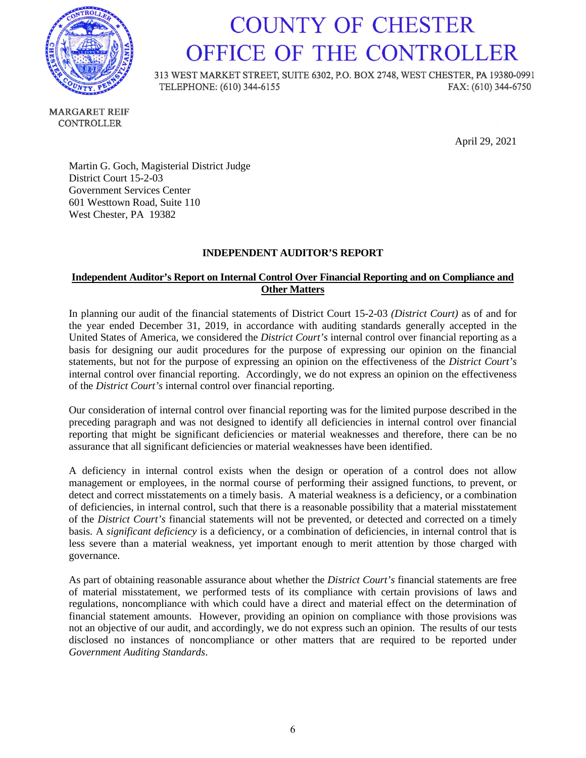

## **COUNTY OF CHESTER** OFFICE OF THE CONTROLLER

313 WEST MARKET STREET, SUITE 6302, P.O. BOX 2748, WEST CHESTER, PA 19380-0991 TELEPHONE: (610) 344-6155 FAX: (610) 344-6750

**MARGARET REIF CONTROLLER** 

April 29, 2021

Martin G. Goch, Magisterial District Judge District Court 15-2-03 Government Services Center 601 Westtown Road, Suite 110 West Chester, PA 19382

### **INDEPENDENT AUDITOR'S REPORT**

## **Independent Auditor's Report on Internal Control Over Financial Reporting and on Compliance and Other Matters**

In planning our audit of the financial statements of District Court 15-2-03 *(District Court)* as of and for the year ended December 31, 2019, in accordance with auditing standards generally accepted in the United States of America, we considered the *District Court's* internal control over financial reporting as a basis for designing our audit procedures for the purpose of expressing our opinion on the financial statements, but not for the purpose of expressing an opinion on the effectiveness of the *District Court's* internal control over financial reporting. Accordingly, we do not express an opinion on the effectiveness of the *District Court's* internal control over financial reporting.

Our consideration of internal control over financial reporting was for the limited purpose described in the preceding paragraph and was not designed to identify all deficiencies in internal control over financial reporting that might be significant deficiencies or material weaknesses and therefore, there can be no assurance that all significant deficiencies or material weaknesses have been identified.

A deficiency in internal control exists when the design or operation of a control does not allow management or employees, in the normal course of performing their assigned functions, to prevent, or detect and correct misstatements on a timely basis. A material weakness is a deficiency, or a combination of deficiencies, in internal control, such that there is a reasonable possibility that a material misstatement of the *District Court's* financial statements will not be prevented, or detected and corrected on a timely basis. A *significant deficiency* is a deficiency, or a combination of deficiencies, in internal control that is less severe than a material weakness, yet important enough to merit attention by those charged with governance.

As part of obtaining reasonable assurance about whether the *District Court's* financial statements are free of material misstatement, we performed tests of its compliance with certain provisions of laws and regulations, noncompliance with which could have a direct and material effect on the determination of financial statement amounts. However, providing an opinion on compliance with those provisions was not an objective of our audit, and accordingly, we do not express such an opinion. The results of our tests disclosed no instances of noncompliance or other matters that are required to be reported under *Government Auditing Standards*.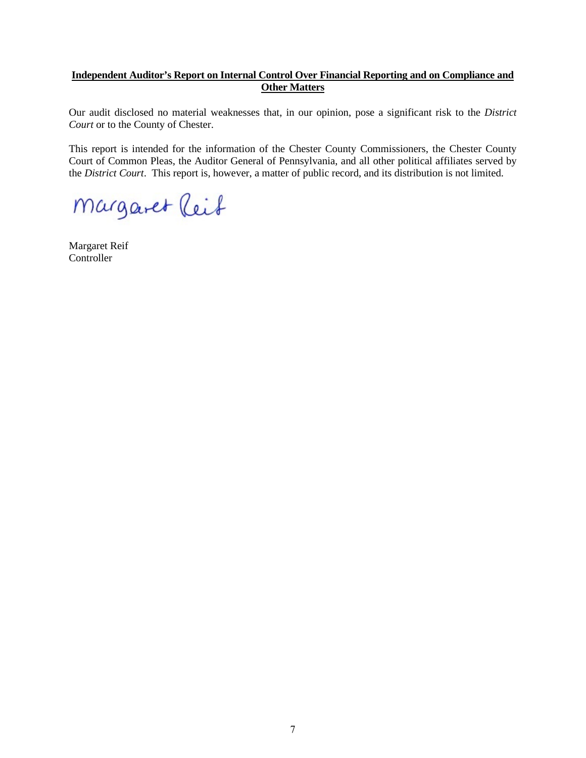### **Independent Auditor's Report on Internal Control Over Financial Reporting and on Compliance and Other Matters**

Our audit disclosed no material weaknesses that, in our opinion, pose a significant risk to the *District Court* or to the County of Chester.

This report is intended for the information of the Chester County Commissioners, the Chester County Court of Common Pleas, the Auditor General of Pennsylvania, and all other political affiliates served by the *District Court*. This report is, however, a matter of public record, and its distribution is not limited.

Margaret Reif

Margaret Reif Controller